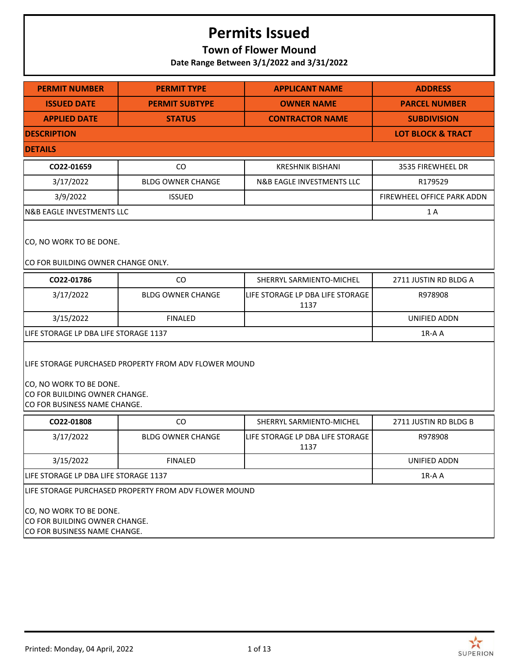## **Town of Flower Mound**

**Date Range Between 3/1/2022 and 3/31/2022**

| <b>PERMIT NUMBER</b>                                                                                                                              | <b>PERMIT TYPE</b>                                                                                                                                | <b>APPLICANT NAME</b>                    | <b>ADDRESS</b>               |  |  |
|---------------------------------------------------------------------------------------------------------------------------------------------------|---------------------------------------------------------------------------------------------------------------------------------------------------|------------------------------------------|------------------------------|--|--|
| <b>ISSUED DATE</b>                                                                                                                                | <b>PERMIT SUBTYPE</b>                                                                                                                             | <b>OWNER NAME</b>                        | <b>PARCEL NUMBER</b>         |  |  |
| <b>APPLIED DATE</b>                                                                                                                               | <b>STATUS</b>                                                                                                                                     | <b>CONTRACTOR NAME</b>                   | <b>SUBDIVISION</b>           |  |  |
| <b>DESCRIPTION</b>                                                                                                                                |                                                                                                                                                   |                                          | <b>LOT BLOCK &amp; TRACT</b> |  |  |
| <b>DETAILS</b>                                                                                                                                    |                                                                                                                                                   |                                          |                              |  |  |
| CO22-01659                                                                                                                                        | CO                                                                                                                                                | <b>KRESHNIK BISHANI</b>                  | 3535 FIREWHEEL DR            |  |  |
| 3/17/2022                                                                                                                                         | <b>BLDG OWNER CHANGE</b>                                                                                                                          | <b>N&amp;B EAGLE INVESTMENTS LLC</b>     | R179529                      |  |  |
| 3/9/2022                                                                                                                                          | <b>ISSUED</b>                                                                                                                                     |                                          | FIREWHEEL OFFICE PARK ADDN   |  |  |
| <b>N&amp;B EAGLE INVESTMENTS LLC</b>                                                                                                              |                                                                                                                                                   |                                          | 1A                           |  |  |
| CO, NO WORK TO BE DONE.<br>CO FOR BUILDING OWNER CHANGE ONLY.                                                                                     |                                                                                                                                                   |                                          |                              |  |  |
| CO22-01786                                                                                                                                        | CO                                                                                                                                                | SHERRYL SARMIENTO-MICHEL                 | 2711 JUSTIN RD BLDG A        |  |  |
| 3/17/2022                                                                                                                                         | <b>BLDG OWNER CHANGE</b>                                                                                                                          | LIFE STORAGE LP DBA LIFE STORAGE<br>1137 | R978908                      |  |  |
| 3/15/2022                                                                                                                                         | <b>FINALED</b>                                                                                                                                    |                                          | UNIFIED ADDN                 |  |  |
| LIFE STORAGE LP DBA LIFE STORAGE 1137                                                                                                             |                                                                                                                                                   |                                          | 1R-A A                       |  |  |
|                                                                                                                                                   | LIFE STORAGE PURCHASED PROPERTY FROM ADV FLOWER MOUND<br>CO, NO WORK TO BE DONE.<br>CO FOR BUILDING OWNER CHANGE.<br>CO FOR BUSINESS NAME CHANGE. |                                          |                              |  |  |
| CO22-01808                                                                                                                                        | CO                                                                                                                                                | SHERRYL SARMIENTO-MICHEL                 | 2711 JUSTIN RD BLDG B        |  |  |
| 3/17/2022                                                                                                                                         | <b>BLDG OWNER CHANGE</b>                                                                                                                          | LIFE STORAGE LP DBA LIFE STORAGE<br>1137 | R978908                      |  |  |
| 3/15/2022                                                                                                                                         | <b>FINALED</b>                                                                                                                                    |                                          | UNIFIED ADDN                 |  |  |
| LIFE STORAGE LP DBA LIFE STORAGE 1137                                                                                                             |                                                                                                                                                   |                                          | 1R-A A                       |  |  |
| LIFE STORAGE PURCHASED PROPERTY FROM ADV FLOWER MOUND<br>CO, NO WORK TO BE DONE.<br>CO FOR BUILDING OWNER CHANGE.<br>CO FOR BUSINESS NAME CHANGE. |                                                                                                                                                   |                                          |                              |  |  |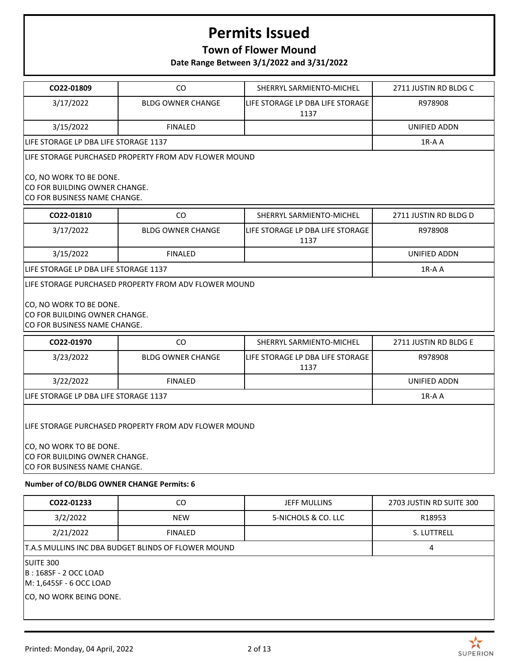## **Town of Flower Mound**

**Date Range Between 3/1/2022 and 3/31/2022**

| CO22-01809                                                                                                                                        | CO.                                                   | SHERRYL SARMIENTO-MICHEL                 | 2711 JUSTIN RD BLDG C    |  |
|---------------------------------------------------------------------------------------------------------------------------------------------------|-------------------------------------------------------|------------------------------------------|--------------------------|--|
| 3/17/2022                                                                                                                                         | <b>BLDG OWNER CHANGE</b>                              | LIFE STORAGE LP DBA LIFE STORAGE<br>1137 | R978908                  |  |
| 3/15/2022                                                                                                                                         | <b>FINALED</b>                                        |                                          | UNIFIED ADDN             |  |
| LIFE STORAGE LP DBA LIFE STORAGE 1137                                                                                                             |                                                       |                                          | $1R-A$ A                 |  |
|                                                                                                                                                   | LIFE STORAGE PURCHASED PROPERTY FROM ADV FLOWER MOUND |                                          |                          |  |
| CO, NO WORK TO BE DONE.<br>CO FOR BUILDING OWNER CHANGE.<br>CO FOR BUSINESS NAME CHANGE.                                                          |                                                       |                                          |                          |  |
| CO22-01810                                                                                                                                        | CO                                                    | SHERRYL SARMIENTO-MICHEL                 | 2711 JUSTIN RD BLDG D    |  |
| 3/17/2022                                                                                                                                         | <b>BLDG OWNER CHANGE</b>                              | LIFE STORAGE LP DBA LIFE STORAGE<br>1137 | R978908                  |  |
| 3/15/2022                                                                                                                                         | <b>FINALED</b>                                        |                                          | <b>UNIFIED ADDN</b>      |  |
| LIFE STORAGE LP DBA LIFE STORAGE 1137                                                                                                             |                                                       |                                          | $1R-A$ A                 |  |
| CO, NO WORK TO BE DONE.<br>CO FOR BUILDING OWNER CHANGE.<br>CO FOR BUSINESS NAME CHANGE.                                                          |                                                       |                                          |                          |  |
| CO22-01970                                                                                                                                        | CO                                                    | SHERRYL SARMIENTO-MICHEL                 | 2711 JUSTIN RD BLDG E    |  |
| 3/23/2022                                                                                                                                         | <b>BLDG OWNER CHANGE</b>                              | LIFE STORAGE LP DBA LIFE STORAGE<br>1137 | R978908                  |  |
| 3/22/2022                                                                                                                                         | <b>FINALED</b>                                        |                                          | UNIFIED ADDN             |  |
| LIFE STORAGE LP DBA LIFE STORAGE 1137                                                                                                             |                                                       |                                          | 1R-A A                   |  |
| LIFE STORAGE PURCHASED PROPERTY FROM ADV FLOWER MOUND<br>CO, NO WORK TO BE DONE.<br>CO FOR BUILDING OWNER CHANGE.<br>CO FOR BUSINESS NAME CHANGE. |                                                       |                                          |                          |  |
| Number of CO/BLDG OWNER CHANGE Permits: 6                                                                                                         |                                                       |                                          |                          |  |
| CO22-01233                                                                                                                                        | CO                                                    | <b>JEFF MULLINS</b>                      | 2703 JUSTIN RD SUITE 300 |  |
| 3/2/2022                                                                                                                                          | NEW                                                   | 5-NICHOLS & CO. LLC                      | R18953                   |  |

SUITE 300

B : 168SF - 2 OCC LOAD

M: 1,645SF - 6 OCC LOAD

CO, NO WORK BEING DONE.

2/21/2022 FINALED S. LUTTRELL

T.A.S MULLINS INC DBA BUDGET BLINDS OF FLOWER MOUND 4

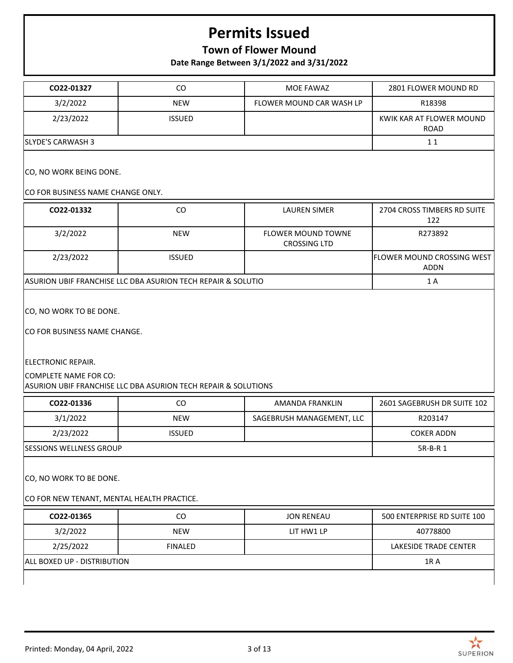## **Town of Flower Mound**

**Date Range Between 3/1/2022 and 3/31/2022**

 $\mathbf{r}$ 

| CO22-01327                                                                                                                                                                      | CO             | MOE FAWAZ                                        | 2801 FLOWER MOUND RD                    |
|---------------------------------------------------------------------------------------------------------------------------------------------------------------------------------|----------------|--------------------------------------------------|-----------------------------------------|
| 3/2/2022                                                                                                                                                                        | <b>NEW</b>     | FLOWER MOUND CAR WASH LP                         | R18398                                  |
| 2/23/2022                                                                                                                                                                       | <b>ISSUED</b>  |                                                  | KWIK KAR AT FLOWER MOUND<br><b>ROAD</b> |
| <b>SLYDE'S CARWASH 3</b>                                                                                                                                                        |                |                                                  | 11                                      |
| CO, NO WORK BEING DONE.<br>CO FOR BUSINESS NAME CHANGE ONLY.                                                                                                                    |                |                                                  |                                         |
| CO22-01332                                                                                                                                                                      | CO             | <b>LAUREN SIMER</b>                              | 2704 CROSS TIMBERS RD SUITE<br>122      |
| 3/2/2022                                                                                                                                                                        | <b>NEW</b>     | <b>FLOWER MOUND TOWNE</b><br><b>CROSSING LTD</b> | R273892                                 |
| 2/23/2022                                                                                                                                                                       | <b>ISSUED</b>  |                                                  | FLOWER MOUND CROSSING WEST<br>ADDN      |
| ASURION UBIF FRANCHISE LLC DBA ASURION TECH REPAIR & SOLUTIO                                                                                                                    |                |                                                  | 1 A                                     |
|                                                                                                                                                                                 |                |                                                  |                                         |
| CO, NO WORK TO BE DONE.<br>CO FOR BUSINESS NAME CHANGE.<br><b>ELECTRONIC REPAIR.</b><br>COMPLETE NAME FOR CO:<br>ASURION UBIF FRANCHISE LLC DBA ASURION TECH REPAIR & SOLUTIONS |                |                                                  |                                         |
| CO22-01336                                                                                                                                                                      | CO             | <b>AMANDA FRANKLIN</b>                           | 2601 SAGEBRUSH DR SUITE 102             |
| 3/1/2022                                                                                                                                                                        | <b>NEW</b>     | SAGEBRUSH MANAGEMENT, LLC                        | R203147                                 |
| 2/23/2022                                                                                                                                                                       | <b>ISSUED</b>  |                                                  | <b>COKER ADDN</b>                       |
| <b>SESSIONS WELLNESS GROUP</b>                                                                                                                                                  |                |                                                  | 5R-B-R 1                                |
| CO, NO WORK TO BE DONE.<br>CO FOR NEW TENANT, MENTAL HEALTH PRACTICE.                                                                                                           |                |                                                  |                                         |
| CO22-01365                                                                                                                                                                      | CO             | <b>JON RENEAU</b>                                | 500 ENTERPRISE RD SUITE 100             |
| 3/2/2022                                                                                                                                                                        | <b>NEW</b>     | LIT HW1 LP                                       | 40778800                                |
| 2/25/2022                                                                                                                                                                       | <b>FINALED</b> |                                                  | <b>LAKESIDE TRADE CENTER</b>            |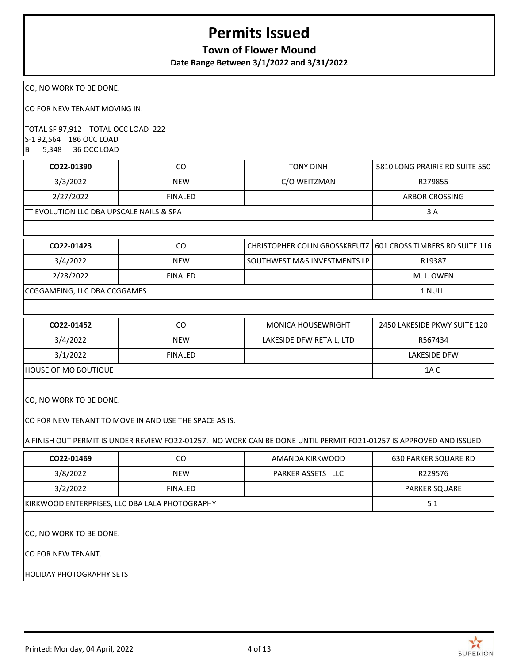### **Town of Flower Mound**

**Date Range Between 3/1/2022 and 3/31/2022**

CO, NO WORK TO BE DONE.

CO FOR NEW TENANT MOVING IN.

TOTAL SF 97,912 TOTAL OCC LOAD 222 S-1 92,564 186 OCC LOAD B 5,348 36 OCC LOAD

| CO22-01390                                           | CO             | TONY DINH    | 5810 LONG PRAIRIE RD SUITE 550 |
|------------------------------------------------------|----------------|--------------|--------------------------------|
| 3/3/2022                                             | <b>NEW</b>     | C/O WEITZMAN | R279855                        |
| 2/27/2022                                            | <b>FINALED</b> |              | ARBOR CROSSING                 |
| <b>ITT EVOLUTION LLC DBA UPSCALE NAILS &amp; SPA</b> |                |              | 3 A                            |

| CO22-01423                   | CO             | CHRISTOPHER COLIN GROSSKREUTZ   601 CROSS TIMBERS RD SUITE 116 |            |
|------------------------------|----------------|----------------------------------------------------------------|------------|
| 3/4/2022                     | <b>NEW</b>     | l SOUTHWEST M&S INVESTMENTS LP l                               | R19387     |
| 2/28/2022                    | <b>FINALED</b> |                                                                | M. J. OWEN |
| CCGGAMEING, LLC DBA CCGGAMES |                |                                                                | 1 NULL     |

| CO22-01452           | CO             | <b>MONICA HOUSEWRIGHT</b> | 2450 LAKESIDE PKWY SUITE 120 |
|----------------------|----------------|---------------------------|------------------------------|
| 3/4/2022             | <b>NEW</b>     | LAKESIDE DFW RETAIL, LTD  | R567434                      |
| 3/1/2022             | <b>FINALED</b> |                           | LAKESIDE DFW                 |
| HOUSE OF MO BOUTIQUE |                |                           | 1A C                         |

CO, NO WORK TO BE DONE.

CO FOR NEW TENANT TO MOVE IN AND USE THE SPACE AS IS.

A FINISH OUT PERMIT IS UNDER REVIEW FO22-01257. NO WORK CAN BE DONE UNTIL PERMIT FO21-01257 IS APPROVED AND ISSUED.

| CO22-01469                      | CO.                                            | AMANDA KIRKWOOD            | <b>630 PARKER SQUARE RD</b> |  |  |
|---------------------------------|------------------------------------------------|----------------------------|-----------------------------|--|--|
| 3/8/2022                        | <b>NEW</b>                                     | <b>PARKER ASSETS I LLC</b> | R229576                     |  |  |
| 3/2/2022                        | <b>FINALED</b>                                 |                            | <b>PARKER SQUARE</b>        |  |  |
|                                 | KIRKWOOD ENTERPRISES, LLC DBA LALA PHOTOGRAPHY |                            |                             |  |  |
|                                 |                                                |                            |                             |  |  |
|                                 | ICO, NO WORK TO BE DONE.                       |                            |                             |  |  |
| ICO FOR NEW TENANT.             |                                                |                            |                             |  |  |
| <b>HOLIDAY PHOTOGRAPHY SETS</b> |                                                |                            |                             |  |  |

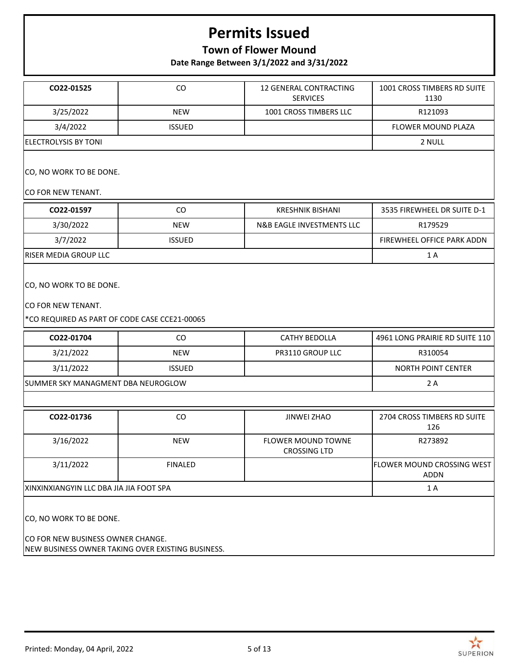## **Town of Flower Mound**

**Date Range Between 3/1/2022 and 3/31/2022**

| CO22-01525                                                                                                        | CO             | 12 GENERAL CONTRACTING<br><b>SERVICES</b>        | 1001 CROSS TIMBERS RD SUITE<br>1130       |  |
|-------------------------------------------------------------------------------------------------------------------|----------------|--------------------------------------------------|-------------------------------------------|--|
| 3/25/2022                                                                                                         | <b>NEW</b>     | 1001 CROSS TIMBERS LLC                           | R121093                                   |  |
| 3/4/2022                                                                                                          | <b>ISSUED</b>  |                                                  | FLOWER MOUND PLAZA                        |  |
| <b>ELECTROLYSIS BY TONI</b>                                                                                       |                |                                                  | 2 NULL                                    |  |
| CO, NO WORK TO BE DONE.<br>CO FOR NEW TENANT.                                                                     |                |                                                  |                                           |  |
| CO22-01597                                                                                                        | CO             | <b>KRESHNIK BISHANI</b>                          | 3535 FIREWHEEL DR SUITE D-1               |  |
| 3/30/2022                                                                                                         | <b>NEW</b>     | N&B EAGLE INVESTMENTS LLC                        | R179529                                   |  |
| 3/7/2022                                                                                                          | <b>ISSUED</b>  |                                                  | FIREWHEEL OFFICE PARK ADDN                |  |
| RISER MEDIA GROUP LLC                                                                                             |                |                                                  | 1 A                                       |  |
| CO, NO WORK TO BE DONE.<br>CO FOR NEW TENANT.<br>*CO REQUIRED AS PART OF CODE CASE CCE21-00065                    |                |                                                  |                                           |  |
| CO22-01704                                                                                                        | CO             | CATHY BEDOLLA                                    | 4961 LONG PRAIRIE RD SUITE 110            |  |
| 3/21/2022                                                                                                         | <b>NEW</b>     | PR3110 GROUP LLC                                 | R310054                                   |  |
| 3/11/2022                                                                                                         | <b>ISSUED</b>  |                                                  | <b>NORTH POINT CENTER</b>                 |  |
| SUMMER SKY MANAGMENT DBA NEUROGLOW                                                                                |                |                                                  | 2 A                                       |  |
|                                                                                                                   |                |                                                  |                                           |  |
| CO22-01736                                                                                                        | CO             | <b>JINWEI ZHAO</b>                               | 2704 CROSS TIMBERS RD SUITE<br>126        |  |
| 3/16/2022                                                                                                         | <b>NEW</b>     | <b>FLOWER MOUND TOWNE</b><br><b>CROSSING LTD</b> | R273892                                   |  |
| 3/11/2022                                                                                                         | <b>FINALED</b> |                                                  | FLOWER MOUND CROSSING WEST<br><b>ADDN</b> |  |
| XINXINXIANGYIN LLC DBA JIA JIA FOOT SPA                                                                           |                |                                                  | 1 A                                       |  |
| CO, NO WORK TO BE DONE.<br>CO FOR NEW BUSINESS OWNER CHANGE.<br>NEW BUSINESS OWNER TAKING OVER EXISTING BUSINESS. |                |                                                  |                                           |  |

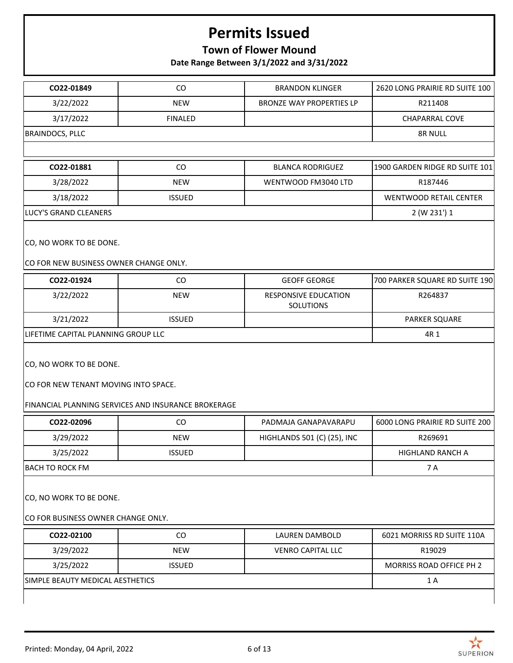## **Town of Flower Mound**

**Date Range Between 3/1/2022 and 3/31/2022**

| CO22-01849                                                        | CO                                                  | <b>BRANDON KLINGER</b>                   | 2620 LONG PRAIRIE RD SUITE 100 |
|-------------------------------------------------------------------|-----------------------------------------------------|------------------------------------------|--------------------------------|
| 3/22/2022                                                         | <b>NEW</b>                                          | <b>BRONZE WAY PROPERTIES LP</b>          | R211408                        |
| 3/17/2022                                                         | <b>FINALED</b>                                      |                                          | <b>CHAPARRAL COVE</b>          |
| <b>BRAINDOCS, PLLC</b>                                            |                                                     |                                          | 8R NULL                        |
|                                                                   |                                                     |                                          |                                |
| CO22-01881                                                        | CO                                                  | <b>BLANCA RODRIGUEZ</b>                  | 1900 GARDEN RIDGE RD SUITE 101 |
| 3/28/2022                                                         | <b>NEW</b>                                          | WENTWOOD FM3040 LTD                      | R187446                        |
| 3/18/2022                                                         | <b>ISSUED</b>                                       |                                          | <b>WENTWOOD RETAIL CENTER</b>  |
| LUCY'S GRAND CLEANERS                                             |                                                     |                                          | 2 (W 231') 1                   |
| CO, NO WORK TO BE DONE.<br>CO FOR NEW BUSINESS OWNER CHANGE ONLY. |                                                     |                                          |                                |
| CO22-01924                                                        | CO                                                  | <b>GEOFF GEORGE</b>                      | 700 PARKER SQUARE RD SUITE 190 |
| 3/22/2022                                                         | <b>NEW</b>                                          | RESPONSIVE EDUCATION<br><b>SOLUTIONS</b> | R264837                        |
| 3/21/2022                                                         | <b>ISSUED</b>                                       |                                          | PARKER SQUARE                  |
| LIFETIME CAPITAL PLANNING GROUP LLC                               | 4R 1                                                |                                          |                                |
| CO, NO WORK TO BE DONE.<br>CO FOR NEW TENANT MOVING INTO SPACE.   | FINANCIAL PLANNING SERVICES AND INSURANCE BROKERAGE |                                          |                                |
| CO22-02096                                                        | CO                                                  | PADMAJA GANAPAVARAPU                     | 6000 LONG PRAIRIE RD SUITE 200 |
| 3/29/2022                                                         | <b>NEW</b>                                          | HIGHLANDS 501 (C) (25), INC              | R269691                        |
| 3/25/2022                                                         | <b>ISSUED</b>                                       |                                          | HIGHLAND RANCH A               |
| <b>BACH TO ROCK FM</b>                                            |                                                     |                                          | 7 A                            |
| CO, NO WORK TO BE DONE.<br>CO FOR BUSINESS OWNER CHANGE ONLY.     |                                                     |                                          |                                |
| CO22-02100                                                        | CO                                                  | LAUREN DAMBOLD                           | 6021 MORRISS RD SUITE 110A     |
| 3/29/2022                                                         | <b>NEW</b>                                          | <b>VENRO CAPITAL LLC</b>                 | R19029                         |
| 3/25/2022                                                         | <b>ISSUED</b>                                       |                                          | MORRISS ROAD OFFICE PH 2       |
| SIMPLE BEAUTY MEDICAL AESTHETICS                                  |                                                     |                                          | 1 A                            |
|                                                                   |                                                     |                                          |                                |



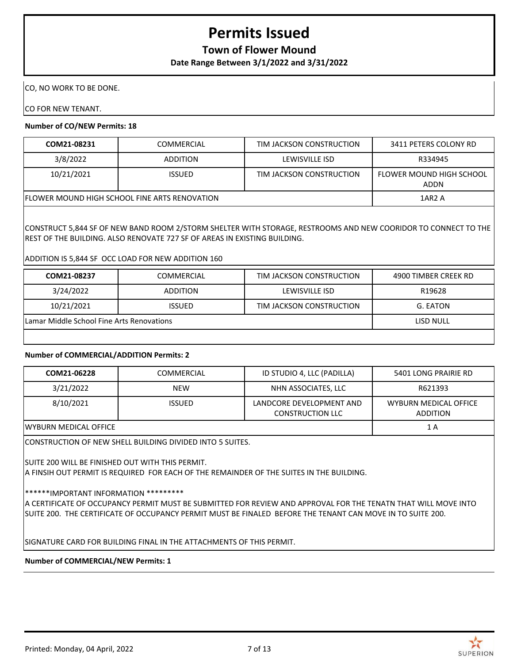### **Town of Flower Mound**

**Date Range Between 3/1/2022 and 3/31/2022**

CO, NO WORK TO BE DONE.

CO FOR NEW TENANT.

#### **Number of CO/NEW Permits: 18**

| COM21-08231                                           | <b>COMMERCIAL</b> | TIM JACKSON CONSTRUCTION | 3411 PETERS COLONY RD            |
|-------------------------------------------------------|-------------------|--------------------------|----------------------------------|
| 3/8/2022                                              | <b>ADDITION</b>   | LEWISVILLE ISD           | R334945                          |
| 10/21/2021                                            | <b>ISSUED</b>     | TIM JACKSON CONSTRUCTION | FLOWER MOUND HIGH SCHOOL<br>ADDN |
| <b>IFLOWER MOUND HIGH SCHOOL FINE ARTS RENOVATION</b> |                   |                          | 1AR <sub>2</sub> A               |

CONSTRUCT 5,844 SF OF NEW BAND ROOM 2/STORM SHELTER WITH STORAGE, RESTROOMS AND NEW COORIDOR TO CONNECT TO THE REST OF THE BUILDING. ALSO RENOVATE 727 SF OF AREAS IN EXISTING BUILDING.

#### ADDITION IS 5,844 SF OCC LOAD FOR NEW ADDITION 160

| COM21-08237                               | COMMERCIAL      | TIM JACKSON CONSTRUCTION | 4900 TIMBER CREEK RD |
|-------------------------------------------|-----------------|--------------------------|----------------------|
| 3/24/2022                                 | <b>ADDITION</b> | LEWISVILLE ISD           | R19628               |
| 10/21/2021                                | <b>ISSUED</b>   | TIM JACKSON CONSTRUCTION | G. EATON             |
| Lamar Middle School Fine Arts Renovations |                 |                          | LISD NULL            |
|                                           |                 |                          |                      |

#### **Number of COMMERCIAL/ADDITION Permits: 2**

| COM21-06228            | COMMERCIAL    | ID STUDIO 4, LLC (PADILLA)                          | 5401 LONG PRAIRIE RD                     |
|------------------------|---------------|-----------------------------------------------------|------------------------------------------|
| 3/21/2022              | <b>NEW</b>    | NHN ASSOCIATES, LLC                                 | R621393                                  |
| 8/10/2021              | <b>ISSUED</b> | LANDCORE DEVELOPMENT AND<br><b>CONSTRUCTION LLC</b> | WYBURN MEDICAL OFFICE<br><b>ADDITION</b> |
| IWYBURN MEDICAL OFFICE |               |                                                     | 1 A                                      |

CONSTRUCTION OF NEW SHELL BUILDING DIVIDED INTO 5 SUITES.

SUITE 200 WILL BE FINISHED OUT WITH THIS PERMIT.

A FINSIH OUT PERMIT IS REQUIRED FOR EACH OF THE REMAINDER OF THE SUITES IN THE BUILDING.

\*\*\*\*\*\*IMPORTANT INFORMATION \*\*\*\*\*\*\*\*\*

A CERTIFICATE OF OCCUPANCY PERMIT MUST BE SUBMITTED FOR REVIEW AND APPROVAL FOR THE TENATN THAT WILL MOVE INTO SUITE 200. THE CERTIFICATE OF OCCUPANCY PERMIT MUST BE FINALED BEFORE THE TENANT CAN MOVE IN TO SUITE 200.

SIGNATURE CARD FOR BUILDING FINAL IN THE ATTACHMENTS OF THIS PERMIT.

**Number of COMMERCIAL/NEW Permits: 1**

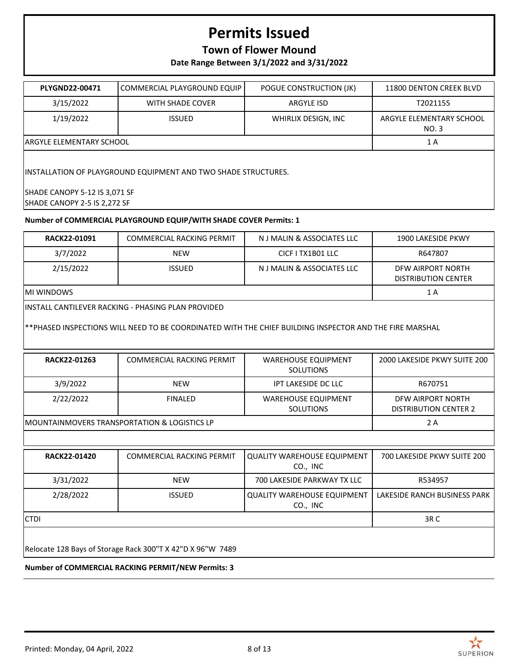### **Town of Flower Mound**

**Date Range Between 3/1/2022 and 3/31/2022**

| <b>PLYGND22-00471</b>                                           | COMMERCIAL PLAYGROUND EQUIP | POGUE CONSTRUCTION (JK) | 11800 DENTON CREEK BLVD           |  |
|-----------------------------------------------------------------|-----------------------------|-------------------------|-----------------------------------|--|
| 3/15/2022                                                       | WITH SHADE COVER            | <b>ARGYLE ISD</b>       | T2021155                          |  |
| 1/19/2022                                                       | <b>ISSUED</b>               | WHIRLIX DESIGN, INC     | ARGYLE ELEMENTARY SCHOOL<br>NO. 3 |  |
| <b>ARGYLE ELEMENTARY SCHOOL</b>                                 |                             |                         | 1 A                               |  |
| IINSTALLATION OF PLAYGROUND EQUIPMENT AND TWO SHADE STRUCTURES. |                             |                         |                                   |  |
| SHADE CANOPY 5-12 IS 3,071 SF<br>SHADE CANOPY 2-5 IS 2,272 SF   |                             |                         |                                   |  |

#### **Number of COMMERCIAL PLAYGROUND EQUIP/WITH SHADE COVER Permits: 1**

| <b>RACK22-01091</b> | <b>COMMERCIAL RACKING PERMIT</b>                                                                                                                               | N J MALIN & ASSOCIATES LLC                     | 1900 LAKESIDE PKWY                                |
|---------------------|----------------------------------------------------------------------------------------------------------------------------------------------------------------|------------------------------------------------|---------------------------------------------------|
| 3/7/2022            | <b>NEW</b>                                                                                                                                                     | CICF I TX1B01 LLC                              | R647807                                           |
| 2/15/2022           | <b>ISSUED</b>                                                                                                                                                  | N J MALIN & ASSOCIATES LLC                     | DFW AIRPORT NORTH<br><b>DISTRIBUTION CENTER</b>   |
| IMI WINDOWS         |                                                                                                                                                                |                                                | 1 A                                               |
|                     | lINSTALL CANTILEVER RACKING - PHASING PLAN PROVIDED<br>**PHASED INSPECTIONS WILL NEED TO BE COORDINATED WITH THE CHIEF BUILDING INSPECTOR AND THE FIRE MARSHAL |                                                |                                                   |
| RACK22-01263        | <b>COMMERCIAL RACKING PERMIT</b>                                                                                                                               | <b>WAREHOUSE EQUIPMENT</b><br><b>SOLUTIONS</b> | 2000 LAKESIDE PKWY SUITE 200                      |
| 3/9/2022            | <b>NEW</b>                                                                                                                                                     | <b>IPT LAKESIDE DC LLC</b>                     | R670751                                           |
| 2/22/2022           | <b>FINALED</b>                                                                                                                                                 | <b>WAREHOUSE EQUIPMENT</b><br><b>SOLUTIONS</b> | DFW AIRPORT NORTH<br><b>DISTRIBUTION CENTER 2</b> |

MOUNTAINMOVERS TRANSPORTATION & LOGISTICS LP 2 A

| <b>RACK22-01420</b> | COMMERCIAL RACKING PERMIT | l QUALITY WAREHOUSE EQUIPMENT<br>CO., INC | 700 LAKESIDE PKWY SUITE 200  |
|---------------------|---------------------------|-------------------------------------------|------------------------------|
| 3/31/2022           | <b>NEW</b>                | 700 LAKESIDE PARKWAY TX LLC               | R534957                      |
| 2/28/2022           | <b>ISSUED</b>             | QUALITY WAREHOUSE EQUIPMENT<br>CO., INC   | LAKESIDE RANCH BUSINESS PARK |
| <b>CTDI</b>         |                           |                                           | 3R <sub>C</sub>              |
|                     |                           |                                           |                              |

Relocate 128 Bays of Storage Rack 300"T X 42"D X 96"W 7489

#### **Number of COMMERCIAL RACKING PERMIT/NEW Permits: 3**

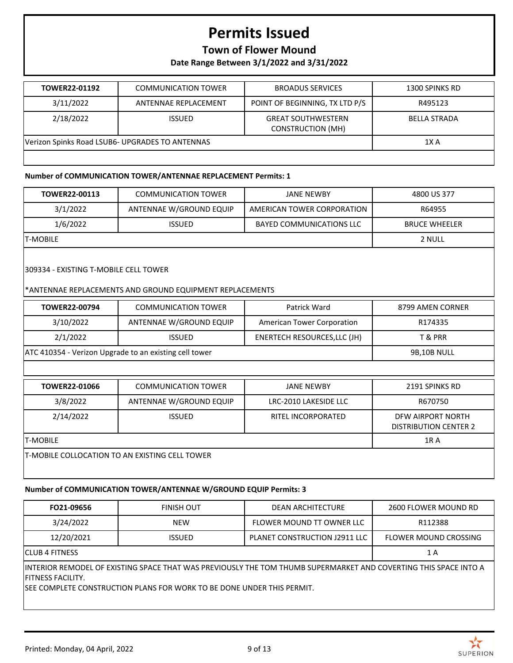## **Town of Flower Mound**

**Date Range Between 3/1/2022 and 3/31/2022**

| TOWER22-01192                                   | <b>COMMUNICATION TOWER</b> | <b>BROADUS SERVICES</b>                               | 1300 SPINKS RD      |
|-------------------------------------------------|----------------------------|-------------------------------------------------------|---------------------|
|                                                 |                            |                                                       |                     |
| 3/11/2022                                       | ANTENNAE REPLACEMENT       | POINT OF BEGINNING, TX LTD P/S                        | R495123             |
| 2/18/2022                                       | <b>ISSUED</b>              | <b>GREAT SOUTHWESTERN</b><br><b>CONSTRUCTION (MH)</b> | <b>BELLA STRADA</b> |
| Verizon Spinks Road LSUB6- UPGRADES TO ANTENNAS |                            |                                                       | 1X A                |
|                                                 |                            |                                                       |                     |

#### **Number of COMMUNICATION TOWER/ANTENNAE REPLACEMENT Permits: 1**

| TOWER22-00113                                          | <b>COMMUNICATION TOWER</b>                               | <b>JANE NEWBY</b>               | 4800 US 377                                       |  |  |
|--------------------------------------------------------|----------------------------------------------------------|---------------------------------|---------------------------------------------------|--|--|
| 3/1/2022                                               | ANTENNAE W/GROUND EQUIP                                  | AMERICAN TOWER CORPORATION      | R64955                                            |  |  |
| 1/6/2022                                               | <b>ISSUED</b>                                            | <b>BAYED COMMUNICATIONS LLC</b> | <b>BRUCE WHEELER</b>                              |  |  |
| <b>T-MOBILE</b>                                        |                                                          |                                 | 2 NULL                                            |  |  |
| 309334 - EXISTING T-MOBILE CELL TOWER                  | *ANTENNAE REPLACEMENTS AND GROUND EQUIPMENT REPLACEMENTS |                                 |                                                   |  |  |
| <b>TOWER22-00794</b>                                   | <b>COMMUNICATION TOWER</b>                               | Patrick Ward                    | 8799 AMEN CORNER                                  |  |  |
| 3/10/2022                                              | ANTENNAE W/GROUND EQUIP                                  | American Tower Corporation      | R174335                                           |  |  |
| 2/1/2022                                               | <b>ISSUED</b>                                            | ENERTECH RESOURCES, LLC (JH)    | T& PRR                                            |  |  |
| ATC 410354 - Verizon Upgrade to an existing cell tower | <b>9B,10B NULL</b>                                       |                                 |                                                   |  |  |
|                                                        |                                                          |                                 |                                                   |  |  |
| TOWER22-01066                                          | <b>COMMUNICATION TOWER</b>                               | <b>JANE NEWBY</b>               | 2191 SPINKS RD                                    |  |  |
| 3/8/2022                                               | ANTENNAE W/GROUND EQUIP                                  | LRC-2010 LAKESIDE LLC           | R670750                                           |  |  |
| 2/14/2022                                              | <b>ISSUED</b>                                            | <b>RITEL INCORPORATED</b>       | DFW AIRPORT NORTH<br><b>DISTRIBUTION CENTER 2</b> |  |  |
|                                                        | <b>T-MOBILE</b>                                          |                                 |                                                   |  |  |

### **Number of COMMUNICATION TOWER/ANTENNAE W/GROUND EQUIP Permits: 3**

| FO21-09656                                                                                                                                                                                                        | <b>FINISH OUT</b> | <b>DEAN ARCHITECTURE</b>      | 2600 FLOWER MOUND RD         |  |
|-------------------------------------------------------------------------------------------------------------------------------------------------------------------------------------------------------------------|-------------------|-------------------------------|------------------------------|--|
| 3/24/2022                                                                                                                                                                                                         | <b>NEW</b>        | FLOWER MOUND TT OWNER LLC     | R112388                      |  |
| 12/20/2021                                                                                                                                                                                                        | <b>ISSUED</b>     | PLANET CONSTRUCTION J2911 LLC | <b>FLOWER MOUND CROSSING</b> |  |
| ICLUB 4 FITNESS<br>1 A                                                                                                                                                                                            |                   |                               |                              |  |
| IINTERIOR REMODEL OF EXISTING SPACE THAT WAS PREVIOUSLY THE TOM THUMB SUPERMARKET AND COVERTING THIS SPACE INTO A<br>FITNESS FACILITY.<br>ISEE COMPLETE CONSTRUCTION PLANS FOR WORK TO BE DONE UNDER THIS PERMIT. |                   |                               |                              |  |

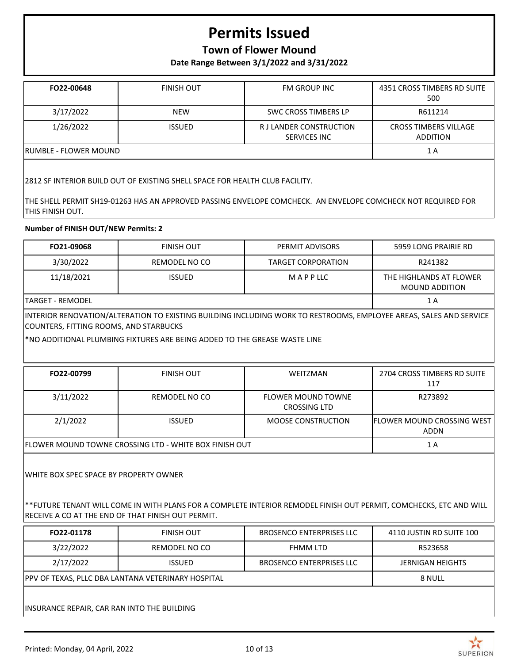### **Town of Flower Mound**

**Date Range Between 3/1/2022 and 3/31/2022**

| FO22-00648                    | <b>FINISH OUT</b> | <b>FM GROUP INC</b>                     | 4351 CROSS TIMBERS RD SUITE<br>500              |
|-------------------------------|-------------------|-----------------------------------------|-------------------------------------------------|
| 3/17/2022                     | <b>NEW</b>        | <b>SWC CROSS TIMBERS LP</b>             | R611214                                         |
| 1/26/2022                     | <b>ISSUED</b>     | R J LANDER CONSTRUCTION<br>SERVICES INC | <b>CROSS TIMBERS VILLAGE</b><br><b>ADDITION</b> |
| <b>IRUMBLE - FLOWER MOUND</b> |                   |                                         | 1 A                                             |

2812 SF INTERIOR BUILD OUT OF EXISTING SHELL SPACE FOR HEALTH CLUB FACILITY.

THE SHELL PERMIT SH19-01263 HAS AN APPROVED PASSING ENVELOPE COMCHECK. AN ENVELOPE COMCHECK NOT REQUIRED FOR THIS FINISH OUT.

#### **Number of FINISH OUT/NEW Permits: 2**

| FO21-09068                                                                                                                                                                                                          | <b>FINISH OUT</b>                                                                                                  | PERMIT ADVISORS                                  | 5959 LONG PRAIRIE RD                             |  |
|---------------------------------------------------------------------------------------------------------------------------------------------------------------------------------------------------------------------|--------------------------------------------------------------------------------------------------------------------|--------------------------------------------------|--------------------------------------------------|--|
| 3/30/2022                                                                                                                                                                                                           | REMODEL NO CO                                                                                                      | <b>TARGET CORPORATION</b>                        | R241382                                          |  |
| 11/18/2021                                                                                                                                                                                                          | <b>ISSUED</b>                                                                                                      | MAPPLLC                                          | THE HIGHLANDS AT FLOWER<br><b>MOUND ADDITION</b> |  |
| <b>TARGET - REMODEL</b>                                                                                                                                                                                             |                                                                                                                    |                                                  | 1 A                                              |  |
| COUNTERS, FITTING ROOMS, AND STARBUCKS                                                                                                                                                                              | INTERIOR RENOVATION/ALTERATION TO EXISTING BUILDING INCLUDING WORK TO RESTROOMS, EMPLOYEE AREAS, SALES AND SERVICE |                                                  |                                                  |  |
|                                                                                                                                                                                                                     | *NO ADDITIONAL PLUMBING FIXTURES ARE BEING ADDED TO THE GREASE WASTE LINE                                          |                                                  |                                                  |  |
|                                                                                                                                                                                                                     |                                                                                                                    |                                                  |                                                  |  |
| FO22-00799                                                                                                                                                                                                          | <b>FINISH OUT</b>                                                                                                  | WEITZMAN                                         | 2704 CROSS TIMBERS RD SUITE<br>117               |  |
| 3/11/2022                                                                                                                                                                                                           | <b>REMODEL NO CO</b>                                                                                               | <b>FLOWER MOUND TOWNE</b><br><b>CROSSING LTD</b> | R273892                                          |  |
| 2/1/2022                                                                                                                                                                                                            | <b>ISSUED</b>                                                                                                      | <b>MOOSE CONSTRUCTION</b>                        | FLOWER MOUND CROSSING WEST<br><b>ADDN</b>        |  |
| FLOWER MOUND TOWNE CROSSING LTD - WHITE BOX FINISH OUT                                                                                                                                                              | 1A                                                                                                                 |                                                  |                                                  |  |
| WHITE BOX SPEC SPACE BY PROPERTY OWNER<br>** FUTURE TENANT WILL COME IN WITH PLANS FOR A COMPLETE INTERIOR REMODEL FINISH OUT PERMIT, COMCHECKS, ETC AND WILL<br>RECEIVE A CO AT THE END OF THAT FINISH OUT PERMIT. |                                                                                                                    |                                                  |                                                  |  |
| FO22-01178                                                                                                                                                                                                          | <b>FINISH OUT</b>                                                                                                  | <b>BROSENCO ENTERPRISES LLC</b>                  | 4110 JUSTIN RD SUITE 100                         |  |
| 3/22/2022                                                                                                                                                                                                           | <b>REMODEL NO CO</b>                                                                                               | <b>FHMM LTD</b>                                  | R523658                                          |  |
| 2/17/2022                                                                                                                                                                                                           | <b>ISSUED</b>                                                                                                      | <b>BROSENCO ENTERPRISES LLC</b>                  | <b>JERNIGAN HEIGHTS</b>                          |  |
| PPV OF TEXAS, PLLC DBA LANTANA VETERINARY HOSPITAL                                                                                                                                                                  | 8 NULL                                                                                                             |                                                  |                                                  |  |

INSURANCE REPAIR, CAR RAN INTO THE BUILDING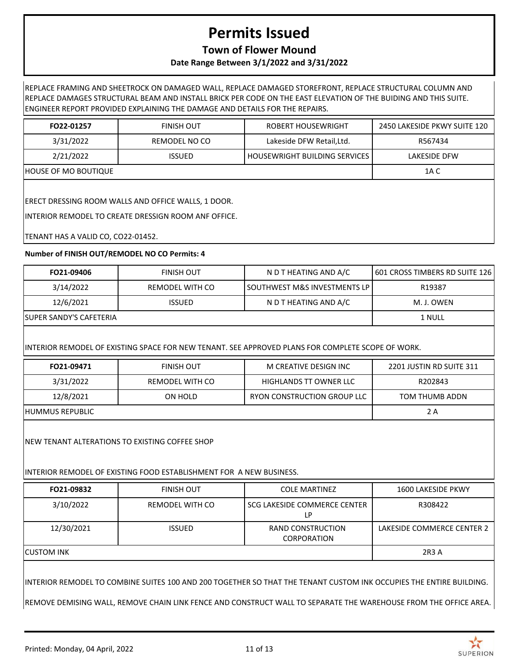### **Town of Flower Mound**

### **Date Range Between 3/1/2022 and 3/31/2022**

REPLACE FRAMING AND SHEETROCK ON DAMAGED WALL, REPLACE DAMAGED STOREFRONT, REPLACE STRUCTURAL COLUMN AND REPLACE DAMAGES STRUCTURAL BEAM AND INSTALL BRICK PER CODE ON THE EAST ELEVATION OF THE BUIDING AND THIS SUITE. ENGINEER REPORT PROVIDED EXPLAINING THE DAMAGE AND DETAILS FOR THE REPAIRS.

| FO22-01257           | <b>FINISH OUT</b> | <b>ROBERT HOUSEWRIGHT</b>            | 2450 LAKESIDE PKWY SUITE 120 |
|----------------------|-------------------|--------------------------------------|------------------------------|
| 3/31/2022            | REMODEL NO CO     | Lakeside DFW Retail, Ltd.            | R567434                      |
| 2/21/2022            | <b>ISSUED</b>     | <b>HOUSEWRIGHT BUILDING SERVICES</b> | LAKESIDE DFW                 |
| HOUSE OF MO BOUTIQUE |                   |                                      | 1A C                         |

ERECT DRESSING ROOM WALLS AND OFFICE WALLS, 1 DOOR.

INTERIOR REMODEL TO CREATE DRESSIGN ROOM ANF OFFICE.

TENANT HAS A VALID CO, CO22-01452.

#### **Number of FINISH OUT/REMODEL NO CO Permits: 4**

| FO21-09406               | FINISH OUT      | N D T HEATING AND A/C            | 1601 CROSS TIMBERS RD SUITE 126 |
|--------------------------|-----------------|----------------------------------|---------------------------------|
| 3/14/2022                | REMODEL WITH CO | l SOUTHWEST M&S INVESTMENTS LP l | R19387                          |
| 12/6/2021                | <b>ISSUED</b>   | N D T HEATING AND A/C            | M. J. OWEN                      |
| ISUPER SANDY'S CAFETERIA |                 |                                  | 1 NULL                          |

### INTERIOR REMODEL OF EXISTING SPACE FOR NEW TENANT. SEE APPROVED PLANS FOR COMPLETE SCOPE OF WORK.

| FO21-09471       | <b>FINISH OUT</b> | M CREATIVE DESIGN INC       | 2201 JUSTIN RD SUITE 311 |
|------------------|-------------------|-----------------------------|--------------------------|
| 3/31/2022        | REMODEL WITH CO   | HIGHLANDS TT OWNER LLC      | R202843                  |
| 12/8/2021        | ON HOLD           | RYON CONSTRUCTION GROUP LLC | TOM THUMB ADDN           |
| IHUMMUS REPUBLIC |                   |                             | 2 A                      |

NEW TENANT ALTERATIONS TO EXISTING COFFEE SHOP

### INTERIOR REMODEL OF EXISTING FOOD ESTABLISHMENT FOR A NEW BUSINESS.

| FO21-09832  | <b>FINISH OUT</b> | <b>COLE MARTINEZ</b>                    | 1600 LAKESIDE PKWY         |
|-------------|-------------------|-----------------------------------------|----------------------------|
| 3/10/2022   | REMODEL WITH CO   | SCG LAKESIDE COMMERCE CENTER<br>LP      | R308422                    |
| 12/30/2021  | <b>ISSUED</b>     | RAND CONSTRUCTION<br><b>CORPORATION</b> | LAKESIDE COMMERCE CENTER 2 |
| ICUSTOM INK |                   |                                         | 2R3 A                      |

INTERIOR REMODEL TO COMBINE SUITES 100 AND 200 TOGETHER SO THAT THE TENANT CUSTOM INK OCCUPIES THE ENTIRE BUILDING.

REMOVE DEMISING WALL, REMOVE CHAIN LINK FENCE AND CONSTRUCT WALL TO SEPARATE THE WAREHOUSE FROM THE OFFICE AREA.

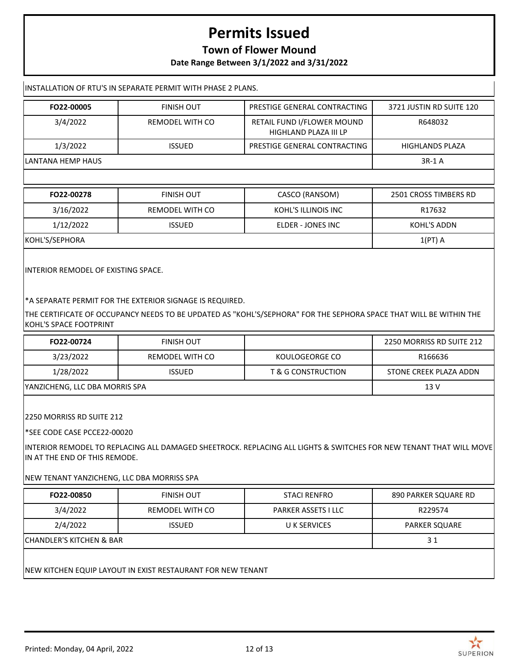### **Town of Flower Mound**

**Date Range Between 3/1/2022 and 3/31/2022**

| INSTALLATION OF RTU'S IN SEPARATE PERMIT WITH PHASE 2 PLANS. |                   |                                                     |                          |
|--------------------------------------------------------------|-------------------|-----------------------------------------------------|--------------------------|
| FO22-00005                                                   | <b>FINISH OUT</b> | PRESTIGE GENERAL CONTRACTING                        | 3721 JUSTIN RD SUITE 120 |
| 3/4/2022                                                     | REMODEL WITH CO   | RETAIL FUND I/FLOWER MOUND<br>HIGHLAND PLAZA III LP | R648032                  |
| 1/3/2022                                                     | <b>ISSUED</b>     | PRESTIGE GENERAL CONTRACTING                        | <b>HIGHLANDS PLAZA</b>   |
| LANTANA HEMP HAUS                                            |                   |                                                     | 3R-1 A                   |
|                                                              |                   |                                                     |                          |
|                                                              |                   |                                                     |                          |

| FO22-00278     | FINISH OUT      | CASCO (RANSOM)      | 2501 CROSS TIMBERS RD |
|----------------|-----------------|---------------------|-----------------------|
| 3/16/2022      | REMODEL WITH CO | KOHL'S ILLINOIS INC | R17632                |
| 1/12/2022      | <b>ISSUED</b>   | ELDER - JONES INC   | KOHL'S ADDN           |
| KOHL'S/SEPHORA |                 |                     | $1(PT)$ A             |

INTERIOR REMODEL OF EXISTING SPACE.

\*A SEPARATE PERMIT FOR THE EXTERIOR SIGNAGE IS REQUIRED.

THE CERTIFICATE OF OCCUPANCY NEEDS TO BE UPDATED AS "KOHL'S/SEPHORA" FOR THE SEPHORA SPACE THAT WILL BE WITHIN THE KOHL'S SPACE FOOTPRINT

| FO22-00724                     | FINISH OUT      |                    | 2250 MORRISS RD SUITE 212 |
|--------------------------------|-----------------|--------------------|---------------------------|
| 3/23/2022                      | REMODEL WITH CO | KOULOGEORGE CO     | R166636                   |
| 1/28/2022                      | <b>ISSUED</b>   | T & G CONSTRUCTION | STONE CREEK PLAZA ADDN    |
| YANZICHENG, LLC DBA MORRIS SPA |                 |                    | 13 V                      |

2250 MORRISS RD SUITE 212

\*SEE CODE CASE PCCE22-00020

INTERIOR REMODEL TO REPLACING ALL DAMAGED SHEETROCK. REPLACING ALL LIGHTS & SWITCHES FOR NEW TENANT THAT WILL MOVE IN AT THE END OF THIS REMODE.

NEW TENANT YANZICHENG, LLC DBA MORRISS SPA

| FO22-00850                          | <b>FINISH OUT</b> | <b>STACI RENFRO</b>        | 890 PARKER SQUARE RD |
|-------------------------------------|-------------------|----------------------------|----------------------|
| 3/4/2022                            | REMODEL WITH CO   | <b>PARKER ASSETS I LLC</b> | R229574              |
| 2/4/2022                            | <b>ISSUED</b>     | U K SERVICES               | <b>PARKER SQUARE</b> |
| <b>CHANDLER'S KITCHEN &amp; BAR</b> |                   |                            | 31                   |

NEW KITCHEN EQUIP LAYOUT IN EXIST RESTAURANT FOR NEW TENANT